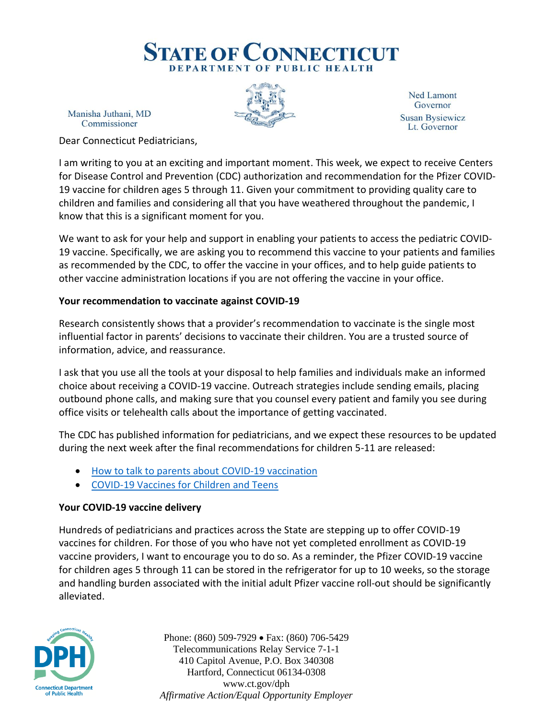# **STATE OF CONNECTICUT** DEPARTMENT OF PUBLIC HEALTH

Manisha Juthani, MD Commissioner

**Ned Lamont** Governor **Susan Bysiewicz** Lt. Governor

Dear Connecticut Pediatricians,

I am writing to you at an exciting and important moment. This week, we expect to receive Centers for Disease Control and Prevention (CDC) authorization and recommendation for the Pfizer COVID-19 vaccine for children ages 5 through 11. Given your commitment to providing quality care to children and families and considering all that you have weathered throughout the pandemic, I know that this is a significant moment for you.

We want to ask for your help and support in enabling your patients to access the pediatric COVID-19 vaccine. Specifically, we are asking you to recommend this vaccine to your patients and families as recommended by the CDC, to offer the vaccine in your offices, and to help guide patients to other vaccine administration locations if you are not offering the vaccine in your office.

### **Your recommendation to vaccinate against COVID-19**

Research consistently shows that a provider's recommendation to vaccinate is the single most influential factor in parents' decisions to vaccinate their children. You are a trusted source of information, advice, and reassurance.

I ask that you use all the tools at your disposal to help families and individuals make an informed choice about receiving a COVID-19 vaccine. Outreach strategies include sending emails, placing outbound phone calls, and making sure that you counsel every patient and family you see during office visits or telehealth calls about the importance of getting vaccinated.

The CDC has published information for pediatricians, and we expect these resources to be updated during the next week after the final recommendations for children 5-11 are released:

- [How to talk to parents about COVID-19 vaccination](https://www.cdc.gov/vaccines/covid-19/hcp/pediatrician.html)
- [COVID-19 Vaccines for Children and Teens](https://www.cdc.gov/coronavirus/2019-ncov/vaccines/recommendations/adolescents.html)

## **Your COVID-19 vaccine delivery**

Hundreds of pediatricians and practices across the State are stepping up to offer COVID-19 vaccines for children. For those of you who have not yet completed enrollment as COVID-19 vaccine providers, I want to encourage you to do so. As a reminder, the Pfizer COVID-19 vaccine for children ages 5 through 11 can be stored in the refrigerator for up to 10 weeks, so the storage and handling burden associated with the initial adult Pfizer vaccine roll-out should be significantly alleviated.



Phone: (860) 509-7929 • Fax: (860) 706-5429 Telecommunications Relay Service 7-1-1 410 Capitol Avenue, P.O. Box 340308 Hartford, Connecticut 06134-0308 www.ct.gov/dph *Affirmative Action/Equal Opportunity Employer*